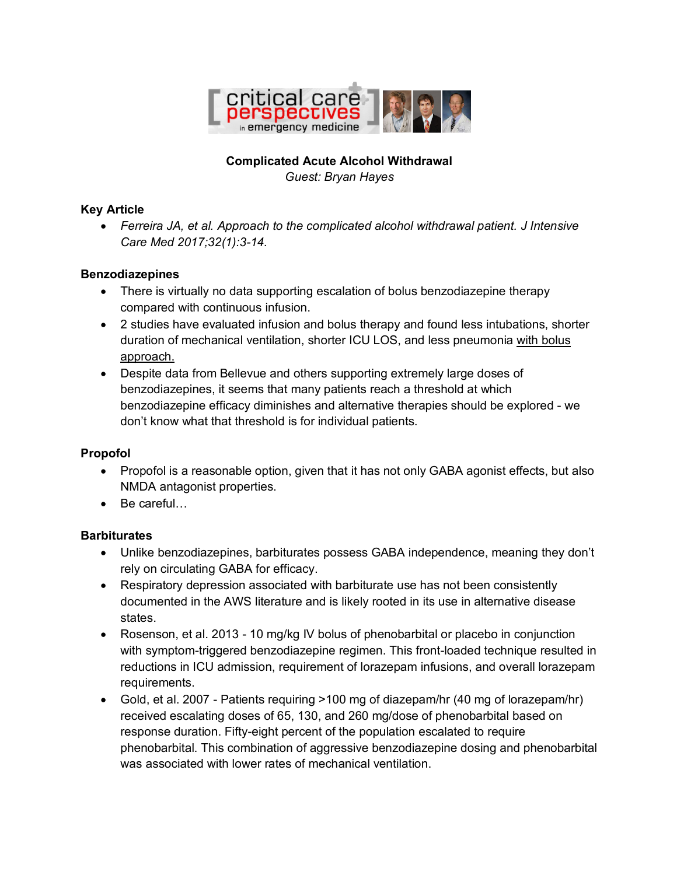

# **Complicated Acute Alcohol Withdrawal**

*Guest: Bryan Hayes*

#### **Key Article**

• *Ferreira JA, et al. Approach to the complicated alcohol withdrawal patient. J Intensive Care Med 2017;32(1):3-14.*

#### **Benzodiazepines**

- There is virtually no data supporting escalation of bolus benzodiazepine therapy compared with continuous infusion.
- 2 studies have evaluated infusion and bolus therapy and found less intubations, shorter duration of mechanical ventilation, shorter ICU LOS, and less pneumonia with bolus approach.
- Despite data from Bellevue and others supporting extremely large doses of benzodiazepines, it seems that many patients reach a threshold at which benzodiazepine efficacy diminishes and alternative therapies should be explored - we don't know what that threshold is for individual patients.

#### **Propofol**

- Propofol is a reasonable option, given that it has not only GABA agonist effects, but also NMDA antagonist properties.
- Be careful…

### **Barbiturates**

- Unlike benzodiazepines, barbiturates possess GABA independence, meaning they don't rely on circulating GABA for efficacy.
- Respiratory depression associated with barbiturate use has not been consistently documented in the AWS literature and is likely rooted in its use in alternative disease states.
- Rosenson, et al. 2013 10 mg/kg IV bolus of phenobarbital or placebo in conjunction with symptom-triggered benzodiazepine regimen. This front-loaded technique resulted in reductions in ICU admission, requirement of lorazepam infusions, and overall lorazepam requirements.
- Gold, et al. 2007 Patients requiring >100 mg of diazepam/hr (40 mg of lorazepam/hr) received escalating doses of 65, 130, and 260 mg/dose of phenobarbital based on response duration. Fifty-eight percent of the population escalated to require phenobarbital. This combination of aggressive benzodiazepine dosing and phenobarbital was associated with lower rates of mechanical ventilation.